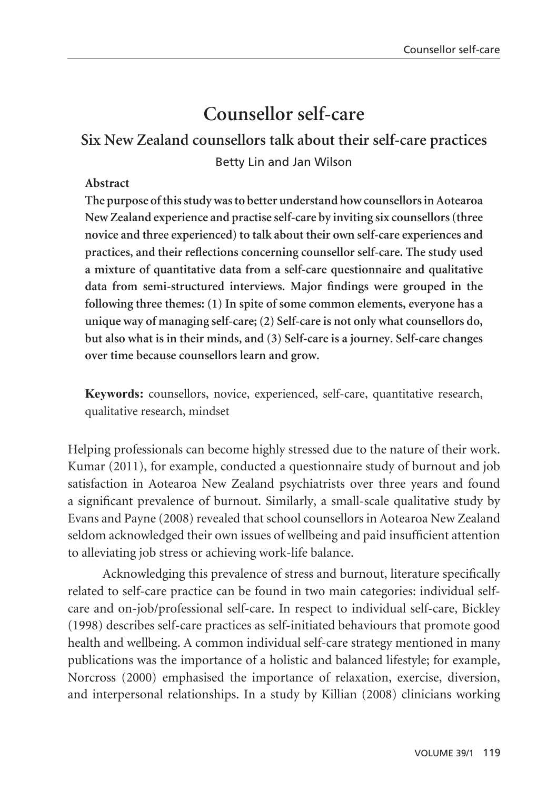# **Counsellor self-care**

# **Six New Zealand counsellors talk about their self-care practices** Betty Lin and Jan Wilson

#### **Abstract**

**The purpose of this study was to better understand how counsellors in Aotearoa New Zealand experience and practise self-care by inviting six counsellors (three novice and three experienced) to talk about their own self-care experiences and practices, and their reflections concerning counsellor self-care. The study used a mixture of quantitative data from a self-care questionnaire and qualitative data from semi-structured interviews. Major findings were grouped in the following three themes: (1) In spite of some common elements, everyone has a unique way of managing self-care; (2) Self-care is not only what counsellors do, but also what is in their minds, and (3) Self-care is a journey. Self-care changes over time because counsellors learn and grow.** 

**Keywords:** counsellors, novice, experienced, self-care, quantitative research, qualitative research, mindset

Helping professionals can become highly stressed due to the nature of their work. Kumar (2011), for example, conducted a questionnaire study of burnout and job satisfaction in Aotearoa New Zealand psychiatrists over three years and found a significant prevalence of burnout. Similarly, a small-scale qualitative study by Evans and Payne (2008) revealed that school counsellors in Aotearoa New Zealand seldom acknowledged their own issues of wellbeing and paid insufficient attention to alleviating job stress or achieving work-life balance.

 Acknowledging this prevalence of stress and burnout, literature specifically related to self-care practice can be found in two main categories: individual selfcare and on-job/professional self-care. In respect to individual self-care, Bickley (1998) describes self-care practices as self-initiated behaviours that promote good health and wellbeing. A common individual self-care strategy mentioned in many publications was the importance of a holistic and balanced lifestyle; for example, Norcross (2000) emphasised the importance of relaxation, exercise, diversion, and interpersonal relationships. In a study by Killian (2008) clinicians working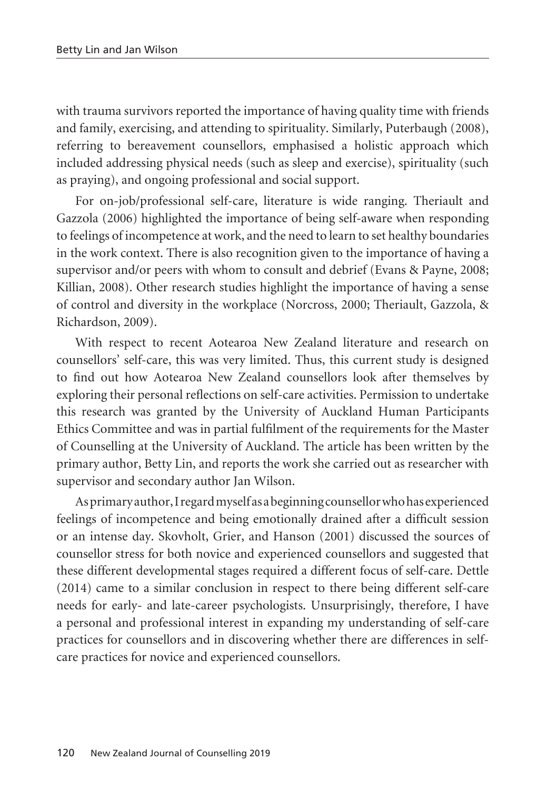with trauma survivors reported the importance of having quality time with friends and family, exercising, and attending to spirituality. Similarly, Puterbaugh (2008), referring to bereavement counsellors, emphasised a holistic approach which included addressing physical needs (such as sleep and exercise), spirituality (such as praying), and ongoing professional and social support.

For on-job/professional self-care, literature is wide ranging. Theriault and Gazzola (2006) highlighted the importance of being self-aware when responding to feelings of incompetence at work, and the need to learn to set healthy boundaries in the work context. There is also recognition given to the importance of having a supervisor and/or peers with whom to consult and debrief (Evans & Payne, 2008; Killian, 2008). Other research studies highlight the importance of having a sense of control and diversity in the workplace (Norcross, 2000; Theriault, Gazzola, & Richardson, 2009).

With respect to recent Aotearoa New Zealand literature and research on counsellors' self-care, this was very limited. Thus, this current study is designed to find out how Aotearoa New Zealand counsellors look after themselves by exploring their personal reflections on self-care activities. Permission to undertake this research was granted by the University of Auckland Human Participants Ethics Committee and was in partial fulfilment of the requirements for the Master of Counselling at the University of Auckland. The article has been written by the primary author, Betty Lin, and reports the work she carried out as researcher with supervisor and secondary author Jan Wilson.

As primary author, I regard myself as a beginning counsellor who has experienced feelings of incompetence and being emotionally drained after a difficult session or an intense day. Skovholt, Grier, and Hanson (2001) discussed the sources of counsellor stress for both novice and experienced counsellors and suggested that these different developmental stages required a different focus of self-care. Dettle (2014) came to a similar conclusion in respect to there being different self-care needs for early- and late-career psychologists. Unsurprisingly, therefore, I have a personal and professional interest in expanding my understanding of self-care practices for counsellors and in discovering whether there are differences in selfcare practices for novice and experienced counsellors.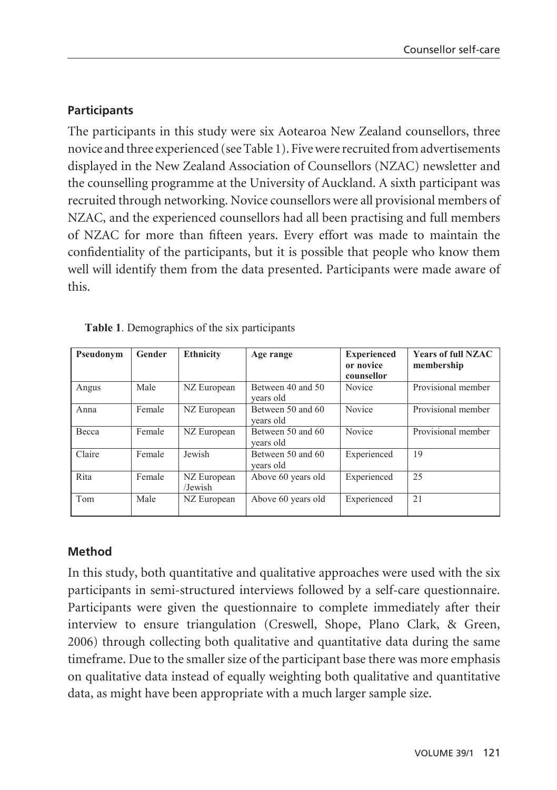### **Participants**

The participants in this study were six Aotearoa New Zealand counsellors, three novice and three experienced (see Table 1). Five were recruited from advertisements displayed in the New Zealand Association of Counsellors (NZAC) newsletter and the counselling programme at the University of Auckland. A sixth participant was recruited through networking. Novice counsellors were all provisional members of NZAC, and the experienced counsellors had all been practising and full members of NZAC for more than fifteen years. Every effort was made to maintain the confidentiality of the participants, but it is possible that people who know them well will identify them from the data presented. Participants were made aware of this.

| Pseudonym | Gender | <b>Ethnicity</b>       | Age range                      | <b>Experienced</b><br>or novice<br>counsellor | <b>Years of full NZAC</b><br>membership |
|-----------|--------|------------------------|--------------------------------|-----------------------------------------------|-----------------------------------------|
| Angus     | Male   | NZ European            | Between 40 and 50<br>vears old | Novice                                        | Provisional member                      |
| Anna      | Female | NZ European            | Between 50 and 60<br>vears old | Novice                                        | Provisional member                      |
| Becca     | Female | NZ European            | Between 50 and 60<br>vears old | Novice                                        | Provisional member                      |
| Claire    | Female | Jewish                 | Between 50 and 60<br>vears old | Experienced                                   | 19                                      |
| Rita      | Female | NZ European<br>/Jewish | Above 60 years old             | Experienced                                   | 25                                      |
| Tom       | Male   | NZ European            | Above 60 years old             | Experienced                                   | 21                                      |

|  |  |  |  |  |  | <b>Table 1.</b> Demographics of the six participants |
|--|--|--|--|--|--|------------------------------------------------------|
|--|--|--|--|--|--|------------------------------------------------------|

### **Method**

interview to ensure triangulation (Creswell, Shope, Plano Clark, & Green, timeframe. Due to the smaller size of the participant base there was more emphasis on qualitative data instead of equally weighting both qualitative and quantitative data, as might have been appropriate with a much larger sample size. In this study, both quantitative and qualitative approaches were used with the six participants in semi-structured interviews followed by a self-care questionnaire. Participants were given the questionnaire to complete immediately after their 2006) through collecting both qualitative and quantitative data during the same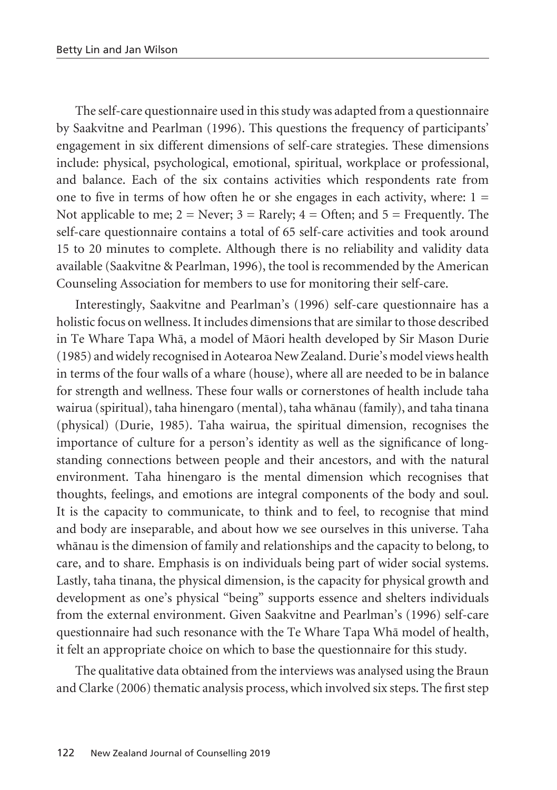The self-care questionnaire used in this study was adapted from a questionnaire by Saakvitne and Pearlman (1996). This questions the frequency of participants' engagement in six different dimensions of self-care strategies. These dimensions include: physical, psychological, emotional, spiritual, workplace or professional, and balance. Each of the six contains activities which respondents rate from one to five in terms of how often he or she engages in each activity, where:  $1 =$ Not applicable to me;  $2 =$  Never;  $3 =$  Rarely;  $4 =$  Often; and  $5 =$  Frequently. The self-care questionnaire contains a total of 65 self-care activities and took around 15 to 20 minutes to complete. Although there is no reliability and validity data available (Saakvitne & Pearlman, 1996), the tool is recommended by the American Counseling Association for members to use for monitoring their self-care.

Interestingly, Saakvitne and Pearlman's (1996) self-care questionnaire has a holistic focus on wellness. It includes dimensions that are similar to those described in Te Whare Tapa Whä, a model of Mäori health developed by Sir Mason Durie (1985) and widely recognised in Aotearoa New Zealand. Durie's model views health in terms of the four walls of a whare (house), where all are needed to be in balance for strength and wellness. These four walls or cornerstones of health include taha wairua (spiritual), taha hinengaro (mental), taha whänau (family), and taha tinana (physical) (Durie, 1985). Taha wairua, the spiritual dimension, recognises the importance of culture for a person's identity as well as the significance of longstanding connections between people and their ancestors, and with the natural environment. Taha hinengaro is the mental dimension which recognises that thoughts, feelings, and emotions are integral components of the body and soul. It is the capacity to communicate, to think and to feel, to recognise that mind and body are inseparable, and about how we see ourselves in this universe. Taha whänau is the dimension of family and relationships and the capacity to belong, to care, and to share. Emphasis is on individuals being part of wider social systems. Lastly, taha tinana, the physical dimension, is the capacity for physical growth and development as one's physical "being" supports essence and shelters individuals from the external environment. Given Saakvitne and Pearlman's (1996) self-care questionnaire had such resonance with the Te Whare Tapa Whä model of health, it felt an appropriate choice on which to base the questionnaire for this study.

The qualitative data obtained from the interviews was analysed using the Braun and Clarke (2006) thematic analysis process, which involved six steps. The first step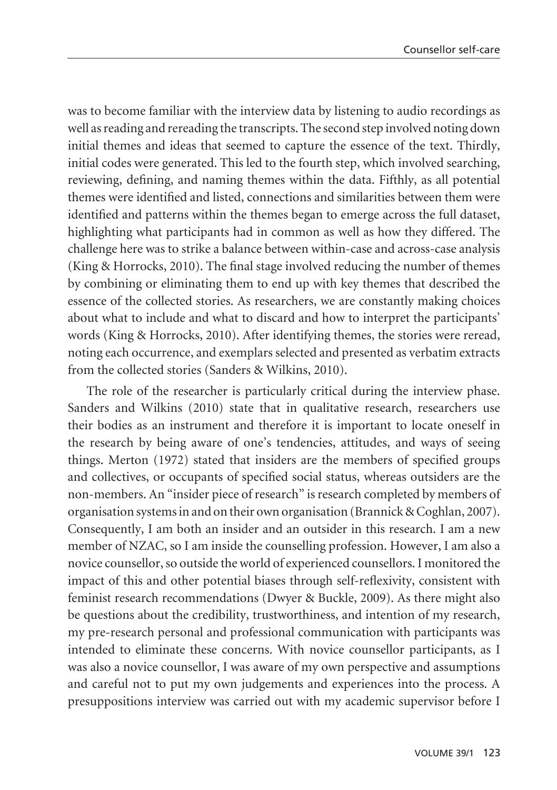was to become familiar with the interview data by listening to audio recordings as well as reading and rereading the transcripts. The second step involved noting down initial themes and ideas that seemed to capture the essence of the text. Thirdly, initial codes were generated. This led to the fourth step, which involved searching, reviewing, defining, and naming themes within the data. Fifthly, as all potential themes were identified and listed, connections and similarities between them were identified and patterns within the themes began to emerge across the full dataset, highlighting what participants had in common as well as how they differed. The challenge here was to strike a balance between within-case and across-case analysis (King & Horrocks, 2010). The final stage involved reducing the number of themes by combining or eliminating them to end up with key themes that described the essence of the collected stories. As researchers, we are constantly making choices about what to include and what to discard and how to interpret the participants' words (King & Horrocks, 2010). After identifying themes, the stories were reread, noting each occurrence, and exemplars selected and presented as verbatim extracts from the collected stories (Sanders & Wilkins, 2010).

The role of the researcher is particularly critical during the interview phase. Sanders and Wilkins (2010) state that in qualitative research, researchers use their bodies as an instrument and therefore it is important to locate oneself in the research by being aware of one's tendencies, attitudes, and ways of seeing things. Merton (1972) stated that insiders are the members of specified groups and collectives, or occupants of specified social status, whereas outsiders are the non-members. An "insider piece of research" is research completed by members of organisation systems in and on their own organisation (Brannick & Coghlan, 2007). Consequently, I am both an insider and an outsider in this research. I am a new member of NZAC, so I am inside the counselling profession. However, I am also a novice counsellor, so outside the world of experienced counsellors. I monitored the impact of this and other potential biases through self-reflexivity, consistent with feminist research recommendations (Dwyer & Buckle, 2009). As there might also be questions about the credibility, trustworthiness, and intention of my research, my pre-research personal and professional communication with participants was intended to eliminate these concerns. With novice counsellor participants, as I was also a novice counsellor, I was aware of my own perspective and assumptions and careful not to put my own judgements and experiences into the process. A presuppositions interview was carried out with my academic supervisor before I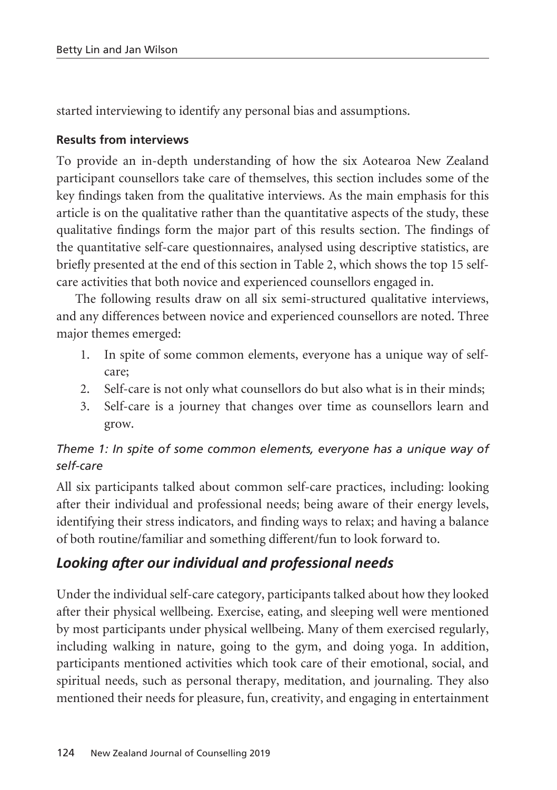started interviewing to identify any personal bias and assumptions.

### **Results from interviews**

To provide an in-depth understanding of how the six Aotearoa New Zealand participant counsellors take care of themselves, this section includes some of the key findings taken from the qualitative interviews. As the main emphasis for this article is on the qualitative rather than the quantitative aspects of the study, these qualitative findings form the major part of this results section. The findings of the quantitative self-care questionnaires, analysed using descriptive statistics, are briefly presented at the end of this section in Table 2, which shows the top 15 selfcare activities that both novice and experienced counsellors engaged in.

The following results draw on all six semi-structured qualitative interviews, and any differences between novice and experienced counsellors are noted. Three major themes emerged:

- 1. In spite of some common elements, everyone has a unique way of selfcare;
- 2. Self-care is not only what counsellors do but also what is in their minds;
- 3. Self-care is a journey that changes over time as counsellors learn and grow.

### *Theme 1: In spite of some common elements, everyone has a unique way of self-care*

All six participants talked about common self-care practices, including: looking after their individual and professional needs; being aware of their energy levels, identifying their stress indicators, and finding ways to relax; and having a balance of both routine/familiar and something different/fun to look forward to.

# *Looking after our individual and professional needs*

Under the individual self-care category, participants talked about how they looked after their physical wellbeing. Exercise, eating, and sleeping well were mentioned by most participants under physical wellbeing. Many of them exercised regularly, including walking in nature, going to the gym, and doing yoga. In addition, participants mentioned activities which took care of their emotional, social, and spiritual needs, such as personal therapy, meditation, and journaling. They also mentioned their needs for pleasure, fun, creativity, and engaging in entertainment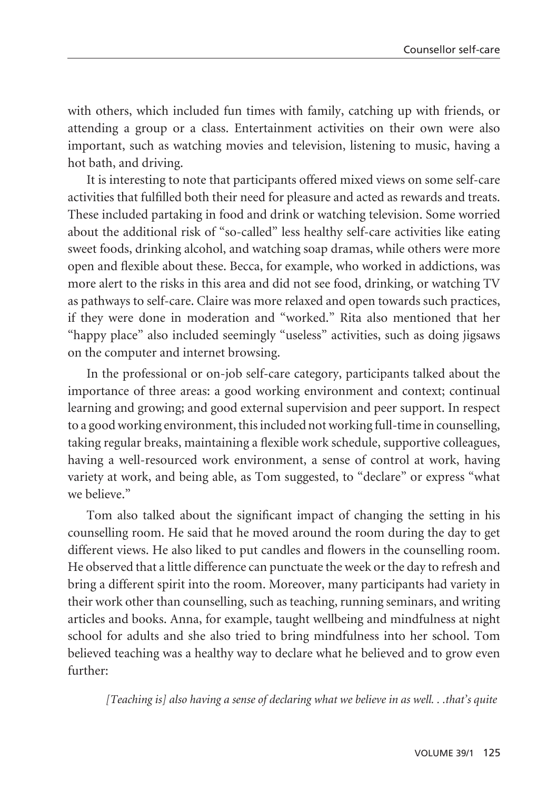with others, which included fun times with family, catching up with friends, or attending a group or a class. Entertainment activities on their own were also important, such as watching movies and television, listening to music, having a hot bath, and driving.

It is interesting to note that participants offered mixed views on some self-care activities that fulfilled both their need for pleasure and acted as rewards and treats. These included partaking in food and drink or watching television. Some worried about the additional risk of "so-called" less healthy self-care activities like eating sweet foods, drinking alcohol, and watching soap dramas, while others were more open and flexible about these. Becca, for example, who worked in addictions, was more alert to the risks in this area and did not see food, drinking, or watching TV as pathways to self-care. Claire was more relaxed and open towards such practices, if they were done in moderation and "worked." Rita also mentioned that her "happy place" also included seemingly "useless" activities, such as doing jigsaws on the computer and internet browsing.

In the professional or on-job self-care category, participants talked about the importance of three areas: a good working environment and context; continual learning and growing; and good external supervision and peer support. In respect to a good working environment, this included not working full-time in counselling, taking regular breaks, maintaining a flexible work schedule, supportive colleagues, having a well-resourced work environment, a sense of control at work, having variety at work, and being able, as Tom suggested, to "declare" or express "what we believe."

Tom also talked about the significant impact of changing the setting in his counselling room. He said that he moved around the room during the day to get different views. He also liked to put candles and flowers in the counselling room. He observed that a little difference can punctuate the week or the day to refresh and bring a different spirit into the room. Moreover, many participants had variety in their work other than counselling, such as teaching, running seminars, and writing articles and books. Anna, for example, taught wellbeing and mindfulness at night school for adults and she also tried to bring mindfulness into her school. Tom believed teaching was a healthy way to declare what he believed and to grow even further:

*[Teaching is] also having a sense of declaring what we believe in as well. . .that's quite*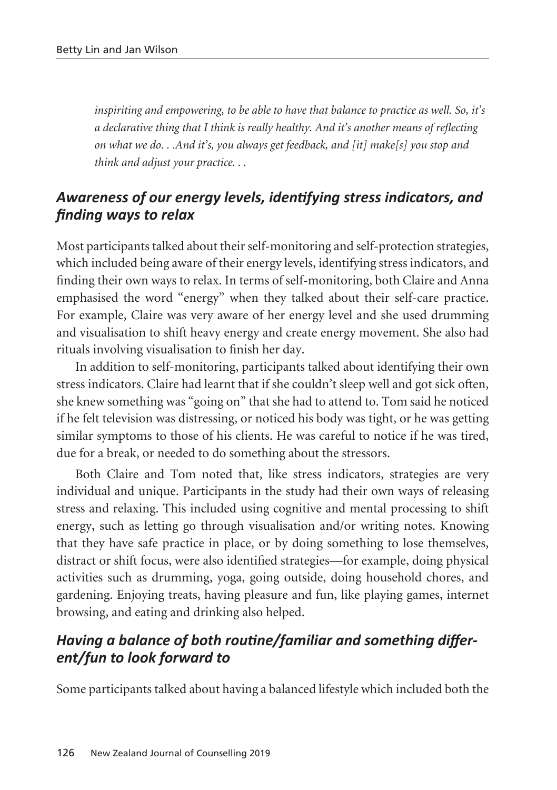*inspiriting and empowering, to be able to have that balance to practice as well. So, it's a declarative thing that I think is really healthy. And it's another means of reflecting on what we do. . .And it's, you always get feedback, and [it] make[s] you stop and think and adjust your practice. . .*

## *Awareness of our energy levels, identifying stress indicators, and finding ways to relax*

Most participants talked about their self-monitoring and self-protection strategies, which included being aware of their energy levels, identifying stress indicators, and finding their own ways to relax. In terms of self-monitoring, both Claire and Anna emphasised the word "energy" when they talked about their self-care practice. For example, Claire was very aware of her energy level and she used drumming and visualisation to shift heavy energy and create energy movement. She also had rituals involving visualisation to finish her day.

In addition to self-monitoring, participants talked about identifying their own stress indicators. Claire had learnt that if she couldn't sleep well and got sick often, she knew something was "going on" that she had to attend to. Tom said he noticed if he felt television was distressing, or noticed his body was tight, or he was getting similar symptoms to those of his clients. He was careful to notice if he was tired, due for a break, or needed to do something about the stressors.

Both Claire and Tom noted that, like stress indicators, strategies are very individual and unique. Participants in the study had their own ways of releasing stress and relaxing. This included using cognitive and mental processing to shift energy, such as letting go through visualisation and/or writing notes. Knowing that they have safe practice in place, or by doing something to lose themselves, distract or shift focus, were also identified strategies—for example, doing physical activities such as drumming, yoga, going outside, doing household chores, and gardening. Enjoying treats, having pleasure and fun, like playing games, internet browsing, and eating and drinking also helped.

## *Having a balance of both routine/familiar and something different/fun to look forward to*

Some participants talked about having a balanced lifestyle which included both the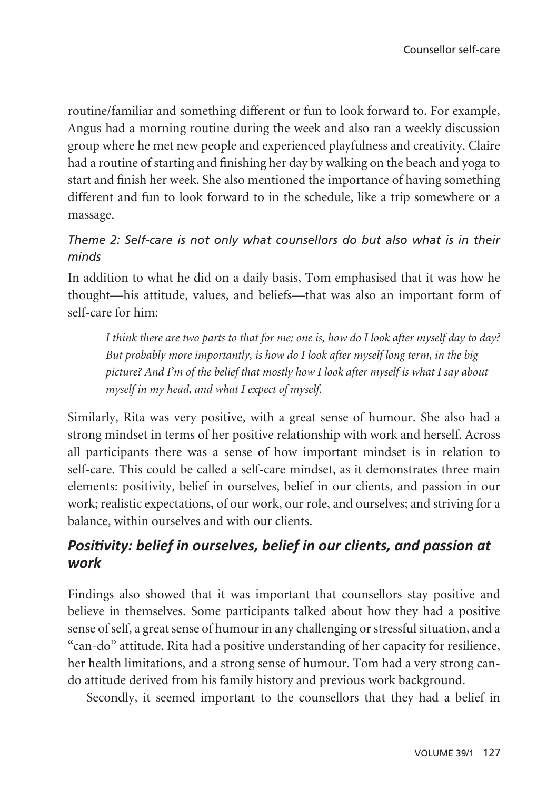routine/familiar and something different or fun to look forward to. For example, Angus had a morning routine during the week and also ran a weekly discussion group where he met new people and experienced playfulness and creativity. Claire had a routine of starting and finishing her day by walking on the beach and yoga to start and finish her week. She also mentioned the importance of having something different and fun to look forward to in the schedule, like a trip somewhere or a massage.

### *Theme 2: Self-care is not only what counsellors do but also what is in their minds*

In addition to what he did on a daily basis, Tom emphasised that it was how he thought—his attitude, values, and beliefs—that was also an important form of self-care for him:

*I think there are two parts to that for me; one is, how do I look after myself day to day? But probably more importantly, is how do I look after myself long term, in the big picture? And I'm of the belief that mostly how I look after myself is what I say about myself in my head, and what I expect of myself.* 

Similarly, Rita was very positive, with a great sense of humour. She also had a strong mindset in terms of her positive relationship with work and herself. Across all participants there was a sense of how important mindset is in relation to self-care. This could be called a self-care mindset, as it demonstrates three main elements: positivity, belief in ourselves, belief in our clients, and passion in our work; realistic expectations, of our work, our role, and ourselves; and striving for a balance, within ourselves and with our clients.

# *Positivity: belief in ourselves, belief in our clients, and passion at work*

Findings also showed that it was important that counsellors stay positive and believe in themselves. Some participants talked about how they had a positive sense of self, a great sense of humour in any challenging or stressful situation, and a "can-do" attitude. Rita had a positive understanding of her capacity for resilience, her health limitations, and a strong sense of humour. Tom had a very strong cando attitude derived from his family history and previous work background.

Secondly, it seemed important to the counsellors that they had a belief in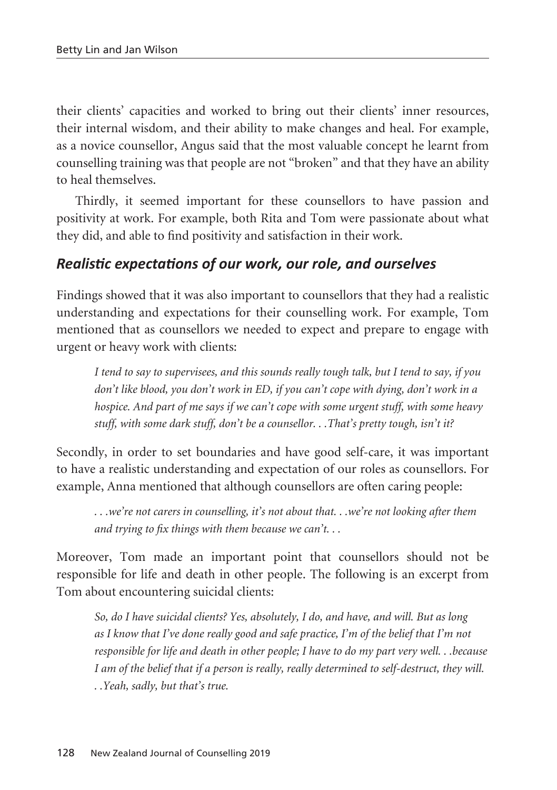their clients' capacities and worked to bring out their clients' inner resources, their internal wisdom, and their ability to make changes and heal. For example, as a novice counsellor, Angus said that the most valuable concept he learnt from counselling training was that people are not "broken" and that they have an ability to heal themselves.

Thirdly, it seemed important for these counsellors to have passion and positivity at work. For example, both Rita and Tom were passionate about what they did, and able to find positivity and satisfaction in their work.

### *Realistic expectations of our work, our role, and ourselves*

Findings showed that it was also important to counsellors that they had a realistic understanding and expectations for their counselling work. For example, Tom mentioned that as counsellors we needed to expect and prepare to engage with urgent or heavy work with clients:

*I tend to say to supervisees, and this sounds really tough talk, but I tend to say, if you don't like blood, you don't work in ED, if you can't cope with dying, don't work in a hospice. And part of me says if we can't cope with some urgent stuff, with some heavy stuff, with some dark stuff, don't be a counsellor. . .That's pretty tough, isn't it?* 

Secondly, in order to set boundaries and have good self-care, it was important to have a realistic understanding and expectation of our roles as counsellors. For example, Anna mentioned that although counsellors are often caring people:

*. . .we're not carers in counselling, it's not about that. . .we're not looking after them and trying to fix things with them because we can't. . .*

Moreover, Tom made an important point that counsellors should not be responsible for life and death in other people. The following is an excerpt from Tom about encountering suicidal clients:

*So, do I have suicidal clients? Yes, absolutely, I do, and have, and will. But as long as I know that I've done really good and safe practice, I'm of the belief that I'm not responsible for life and death in other people; I have to do my part very well. . .because I am of the belief that if a person is really, really determined to self-destruct, they will. . .Yeah, sadly, but that's true.*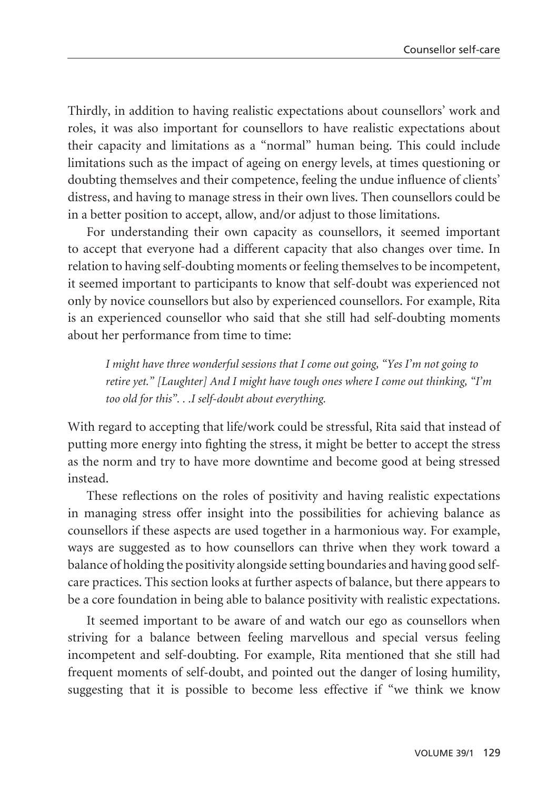Thirdly, in addition to having realistic expectations about counsellors' work and roles, it was also important for counsellors to have realistic expectations about their capacity and limitations as a "normal" human being. This could include limitations such as the impact of ageing on energy levels, at times questioning or doubting themselves and their competence, feeling the undue influence of clients' distress, and having to manage stress in their own lives. Then counsellors could be in a better position to accept, allow, and/or adjust to those limitations.

For understanding their own capacity as counsellors, it seemed important to accept that everyone had a different capacity that also changes over time. In relation to having self-doubting moments or feeling themselves to be incompetent, it seemed important to participants to know that self-doubt was experienced not only by novice counsellors but also by experienced counsellors. For example, Rita is an experienced counsellor who said that she still had self-doubting moments about her performance from time to time:

*I might have three wonderful sessions that I come out going, "Yes I'm not going to retire yet." [Laughter] And I might have tough ones where I come out thinking, "I'm too old for this". . .I self-doubt about everything.* 

With regard to accepting that life/work could be stressful, Rita said that instead of putting more energy into fighting the stress, it might be better to accept the stress as the norm and try to have more downtime and become good at being stressed instead.

These reflections on the roles of positivity and having realistic expectations in managing stress offer insight into the possibilities for achieving balance as counsellors if these aspects are used together in a harmonious way. For example, ways are suggested as to how counsellors can thrive when they work toward a balance of holding the positivity alongside setting boundaries and having good selfcare practices. This section looks at further aspects of balance, but there appears to be a core foundation in being able to balance positivity with realistic expectations.

It seemed important to be aware of and watch our ego as counsellors when striving for a balance between feeling marvellous and special versus feeling incompetent and self-doubting. For example, Rita mentioned that she still had frequent moments of self-doubt, and pointed out the danger of losing humility, suggesting that it is possible to become less effective if "we think we know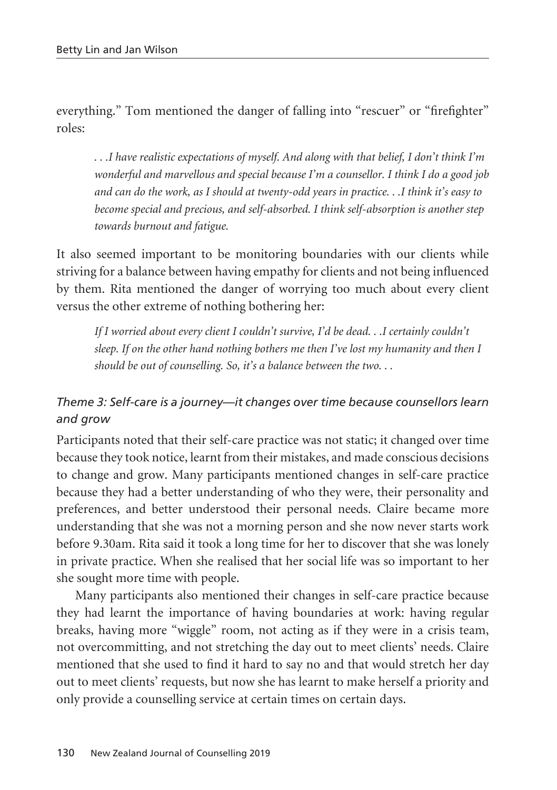everything." Tom mentioned the danger of falling into "rescuer" or "firefighter" roles:

*. . .I have realistic expectations of myself. And along with that belief, I don't think I'm wonderful and marvellous and special because I'm a counsellor. I think I do a good job and can do the work, as I should at twenty-odd years in practice. . .I think it's easy to become special and precious, and self-absorbed. I think self-absorption is another step towards burnout and fatigue.* 

It also seemed important to be monitoring boundaries with our clients while striving for a balance between having empathy for clients and not being influenced by them. Rita mentioned the danger of worrying too much about every client versus the other extreme of nothing bothering her:

*If I worried about every client I couldn't survive, I'd be dead. . .I certainly couldn't sleep. If on the other hand nothing bothers me then I've lost my humanity and then I should be out of counselling. So, it's a balance between the two. . .* 

### *Theme 3: Self-care is a journey—it changes over time because counsellors learn and grow*

Participants noted that their self-care practice was not static; it changed over time because they took notice, learnt from their mistakes, and made conscious decisions to change and grow. Many participants mentioned changes in self-care practice because they had a better understanding of who they were, their personality and preferences, and better understood their personal needs. Claire became more understanding that she was not a morning person and she now never starts work before 9.30am. Rita said it took a long time for her to discover that she was lonely in private practice. When she realised that her social life was so important to her she sought more time with people.

Many participants also mentioned their changes in self-care practice because they had learnt the importance of having boundaries at work: having regular breaks, having more "wiggle" room, not acting as if they were in a crisis team, not overcommitting, and not stretching the day out to meet clients' needs. Claire mentioned that she used to find it hard to say no and that would stretch her day out to meet clients' requests, but now she has learnt to make herself a priority and only provide a counselling service at certain times on certain days.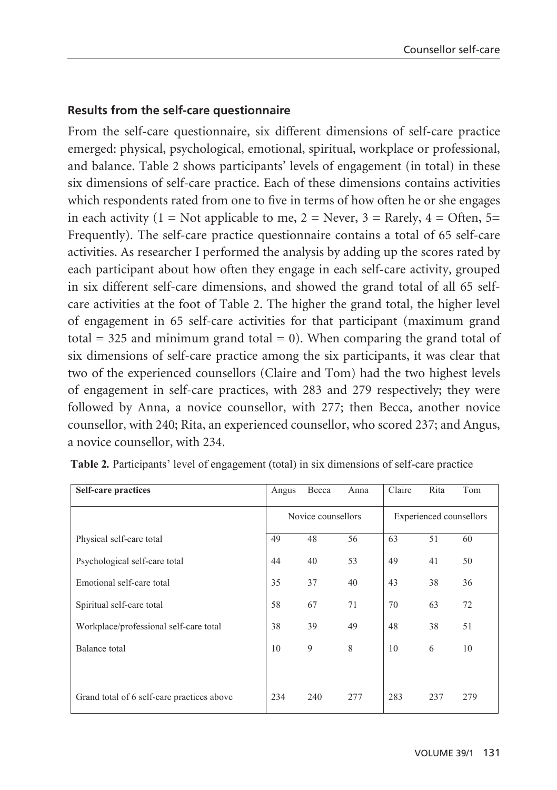#### **Results from the self-care questionnaire**

From the self-care questionnaire, six different dimensions of self-care practice emerged: physical, psychological, emotional, spiritual, workplace or professional, and balance. Table 2 shows participants' levels of engagement (in total) in these six dimensions of self-care practice. Each of these dimensions contains activities which respondents rated from one to five in terms of how often he or she engages in each activity  $(1 = Not applicable to me, 2 = Never, 3 = Rarely, 4 = Often, 5 =$ Frequently). The self-care practice questionnaire contains a total of 65 self-care activities. As researcher I performed the analysis by adding up the scores rated by each participant about how often they engage in each self-care activity, grouped in six different self-care dimensions, and showed the grand total of all 65 selfcare activities at the foot of Table 2. The higher the grand total, the higher level of engagement in 65 self-care activities for that participant (maximum grand total  $=$  325 and minimum grand total  $=$  0). When comparing the grand total of six dimensions of self-care practice among the six participants, it was clear that two of the experienced counsellors (Claire and Tom) had the two highest levels of engagement in self-care practices, with 283 and 279 respectively; they were followed by Anna, a novice counsellor, with 277; then Becca, another novice counsellor, with 240; Rita, an experienced counsellor, who scored 237; and Angus, a novice counsellor, with 234. **or novice Years of full NZAC membership** e quest Novice Provisional member ach participant about now often they engage in each seif-care activity, group  $2.$  The  $\mathbb{R}^n$  $J_{\text{eff}}$ tivities for that participant (me

| <b>Self-care practices</b>                 | Angus | Becca                                         | Anna | Claire | Rita | Tom |
|--------------------------------------------|-------|-----------------------------------------------|------|--------|------|-----|
|                                            |       | Novice counsellors<br>Experienced counsellors |      |        |      |     |
| Physical self-care total                   | 49    | 48                                            | 56   | 63     | 51   | 60  |
| Psychological self-care total              | 44    | 40                                            | 53   | 49     | 41   | 50  |
| Emotional self-care total                  | 35    | 37                                            | 40   | 43     | 38   | 36  |
| Spiritual self-care total                  | 58    | 67                                            | 71   | 70     | 63   | 72  |
| Workplace/professional self-care total     | 38    | 39                                            | 49   | 48     | 38   | 51  |
| Balance total                              | 10    | 9                                             | 8    | 10     | 6    | 10  |
|                                            |       |                                               |      |        |      |     |
| Grand total of 6 self-care practices above | 234   | 240                                           | 277  | 283    | 237  | 279 |

**Table 2***.* Participants' level of engagement (total) in six dimensions of self-care practice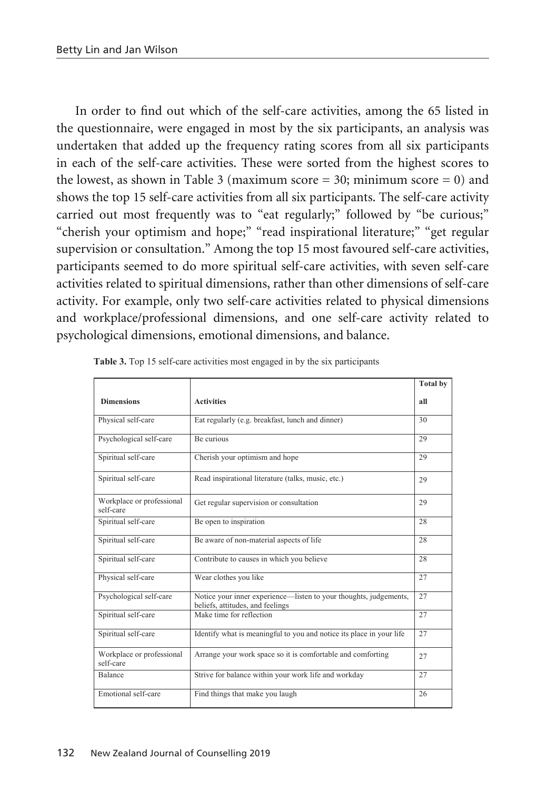In order to find out which of the self-care activities, among the 65 listed in the questionnaire, were engaged in most by the six participants, an analysis was undertaken that added up the frequency rating scores from all six participants in each of the self-care activities. These were sorted from the highest scores to the lowest, as shown in Table 3 (maximum score  $=$  30; minimum score  $=$  0) and shows the top 15 self-care activities from all six participants. The self-care activity carried out most frequently was to "eat regularly;" followed by "be curious;" "cherish your optimism and hope;" "read inspirational literature;" "get regular supervision or consultation." Among the top 15 most favoured self-care activities, participants seemed to do more spiritual self-care activities, with seven self-care activities related to spiritual dimensions, rather than other dimensions of self-care activity. For example, only two self-care activities related to physical dimensions and workplace/professional dimensions, and one self-care activity related to psychological dimensions, emotional dimensions, and balance.

|                                        |                                                                                                       | <b>Total by</b> |
|----------------------------------------|-------------------------------------------------------------------------------------------------------|-----------------|
| <b>Dimensions</b>                      | <b>Activities</b>                                                                                     | all             |
| Physical self-care                     | Eat regularly (e.g. breakfast, lunch and dinner)                                                      | 30              |
| Psychological self-care                | Be curious                                                                                            | 29              |
| Spiritual self-care                    | Cherish your optimism and hope                                                                        | 29              |
| Spiritual self-care                    | Read inspirational literature (talks, music, etc.)                                                    | 29              |
| Workplace or professional<br>self-care | Get regular supervision or consultation                                                               | 29              |
| Spiritual self-care                    | Be open to inspiration                                                                                | 28              |
| Spiritual self-care                    | Be aware of non-material aspects of life                                                              | 28              |
| Spiritual self-care                    | Contribute to causes in which you believe                                                             | 28              |
| Physical self-care                     | Wear clothes you like                                                                                 | 27              |
| Psychological self-care                | Notice your inner experience-listen to your thoughts, judgements,<br>beliefs, attitudes, and feelings | 27              |
| Spiritual self-care                    | Make time for reflection                                                                              | 27              |
| Spiritual self-care                    | Identify what is meaningful to you and notice its place in your life                                  | 27              |
| Workplace or professional<br>self-care | Arrange your work space so it is comfortable and comforting                                           | 27              |
| <b>Balance</b>                         | Strive for balance within your work life and workday                                                  | 27              |
| Emotional self-care                    | Find things that make you laugh                                                                       | 26              |

**Table 3.** Top 15 self-care activities most engaged in by the six participants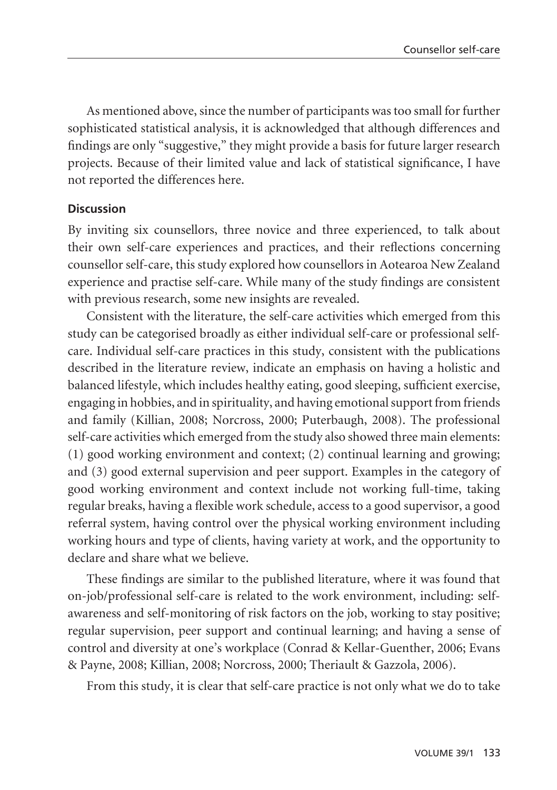As mentioned above, since the number of participants was too small for further sophisticated statistical analysis, it is acknowledged that although differences and findings are only "suggestive," they might provide a basis for future larger research projects. Because of their limited value and lack of statistical significance, I have not reported the differences here.

#### **Discussion**

By inviting six counsellors, three novice and three experienced, to talk about their own self-care experiences and practices, and their reflections concerning counsellor self-care, this study explored how counsellors in Aotearoa New Zealand experience and practise self-care. While many of the study findings are consistent with previous research, some new insights are revealed.

Consistent with the literature, the self-care activities which emerged from this study can be categorised broadly as either individual self-care or professional selfcare. Individual self-care practices in this study, consistent with the publications described in the literature review, indicate an emphasis on having a holistic and balanced lifestyle, which includes healthy eating, good sleeping, sufficient exercise, engaging in hobbies, and in spirituality, and having emotional support from friends and family (Killian, 2008; Norcross, 2000; Puterbaugh, 2008). The professional self-care activities which emerged from the study also showed three main elements: (1) good working environment and context; (2) continual learning and growing; and (3) good external supervision and peer support. Examples in the category of good working environment and context include not working full-time, taking regular breaks, having a flexible work schedule, access to a good supervisor, a good referral system, having control over the physical working environment including working hours and type of clients, having variety at work, and the opportunity to declare and share what we believe.

These findings are similar to the published literature, where it was found that on-job/professional self-care is related to the work environment, including: selfawareness and self-monitoring of risk factors on the job, working to stay positive; regular supervision, peer support and continual learning; and having a sense of control and diversity at one's workplace (Conrad & Kellar-Guenther, 2006; Evans & Payne, 2008; Killian, 2008; Norcross, 2000; Theriault & Gazzola, 2006).

From this study, it is clear that self-care practice is not only what we do to take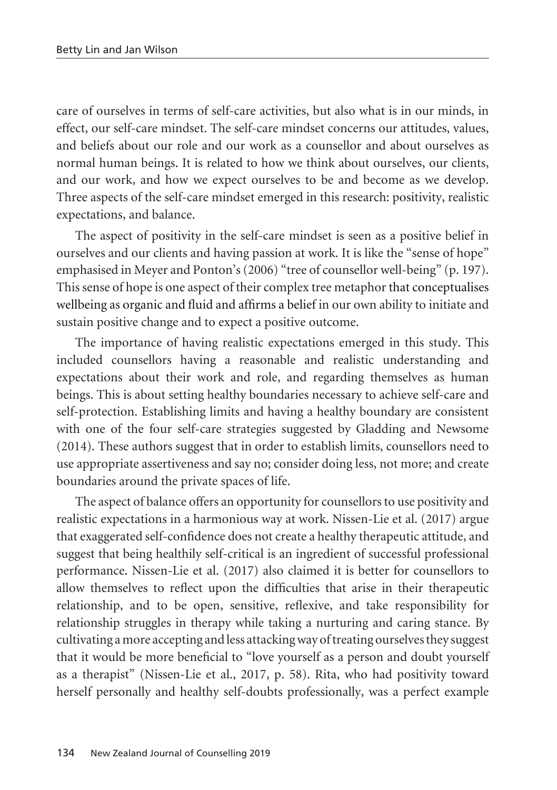care of ourselves in terms of self-care activities, but also what is in our minds, in effect, our self-care mindset. The self-care mindset concerns our attitudes, values, and beliefs about our role and our work as a counsellor and about ourselves as normal human beings. It is related to how we think about ourselves, our clients, and our work, and how we expect ourselves to be and become as we develop. Three aspects of the self-care mindset emerged in this research: positivity, realistic expectations, and balance.

The aspect of positivity in the self-care mindset is seen as a positive belief in ourselves and our clients and having passion at work. It is like the "sense of hope" emphasised in Meyer and Ponton's (2006) "tree of counsellor well-being" (p. 197). This sense of hope is one aspect of their complex tree metaphor that conceptualises wellbeing as organic and fluid and affirms a belief in our own ability to initiate and sustain positive change and to expect a positive outcome.

The importance of having realistic expectations emerged in this study. This included counsellors having a reasonable and realistic understanding and expectations about their work and role, and regarding themselves as human beings. This is about setting healthy boundaries necessary to achieve self-care and self-protection. Establishing limits and having a healthy boundary are consistent with one of the four self-care strategies suggested by Gladding and Newsome (2014). These authors suggest that in order to establish limits, counsellors need to use appropriate assertiveness and say no; consider doing less, not more; and create boundaries around the private spaces of life.

The aspect of balance offers an opportunity for counsellors to use positivity and realistic expectations in a harmonious way at work. Nissen-Lie et al. (2017) argue that exaggerated self-confidence does not create a healthy therapeutic attitude, and suggest that being healthily self-critical is an ingredient of successful professional performance. Nissen-Lie et al. (2017) also claimed it is better for counsellors to allow themselves to reflect upon the difficulties that arise in their therapeutic relationship, and to be open, sensitive, reflexive, and take responsibility for relationship struggles in therapy while taking a nurturing and caring stance. By cultivating a more accepting and less attacking way of treating ourselves they suggest that it would be more beneficial to "love yourself as a person and doubt yourself as a therapist" (Nissen-Lie et al., 2017, p. 58). Rita, who had positivity toward herself personally and healthy self-doubts professionally, was a perfect example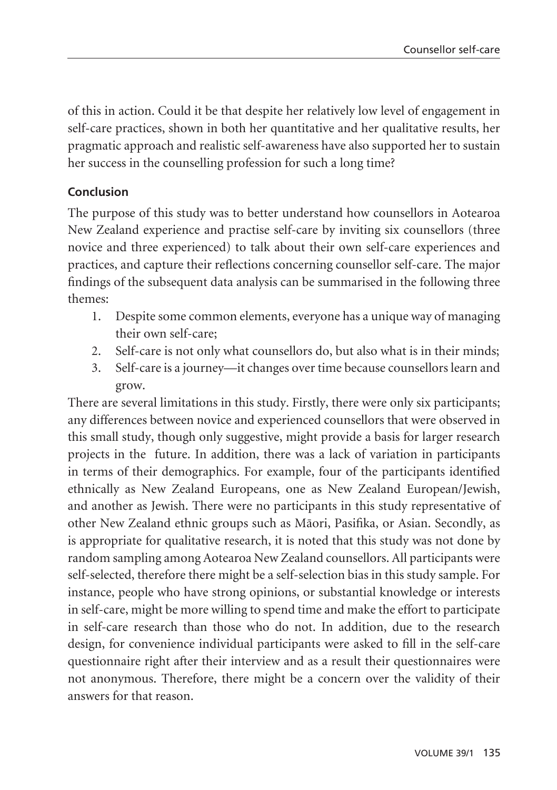of this in action. Could it be that despite her relatively low level of engagement in self-care practices, shown in both her quantitative and her qualitative results, her pragmatic approach and realistic self-awareness have also supported her to sustain her success in the counselling profession for such a long time?

#### **Conclusion**

The purpose of this study was to better understand how counsellors in Aotearoa New Zealand experience and practise self-care by inviting six counsellors (three novice and three experienced) to talk about their own self-care experiences and practices, and capture their reflections concerning counsellor self-care. The major findings of the subsequent data analysis can be summarised in the following three themes:

- 1. Despite some common elements, everyone has a unique way of managing their own self-care;
- 2. Self-care is not only what counsellors do, but also what is in their minds;
- 3. Self-care is a journey—it changes over time because counsellors learn and grow.

There are several limitations in this study. Firstly, there were only six participants; any differences between novice and experienced counsellors that were observed in this small study, though only suggestive, might provide a basis for larger research projects in the future. In addition, there was a lack of variation in participants in terms of their demographics. For example, four of the participants identified ethnically as New Zealand Europeans, one as New Zealand European/Jewish, and another as Jewish. There were no participants in this study representative of other New Zealand ethnic groups such as Mäori, Pasifika, or Asian. Secondly, as is appropriate for qualitative research, it is noted that this study was not done by random sampling among Aotearoa New Zealand counsellors. All participants were self-selected, therefore there might be a self-selection bias in this study sample. For instance, people who have strong opinions, or substantial knowledge or interests in self-care, might be more willing to spend time and make the effort to participate in self-care research than those who do not. In addition, due to the research design, for convenience individual participants were asked to fill in the self-care questionnaire right after their interview and as a result their questionnaires were not anonymous. Therefore, there might be a concern over the validity of their answers for that reason.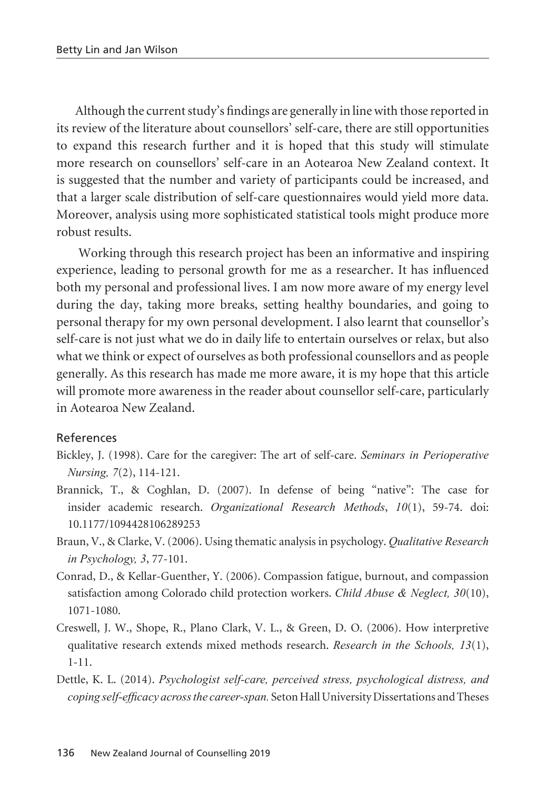Although the current study's findings are generally in line with those reported in its review of the literature about counsellors' self-care, there are still opportunities to expand this research further and it is hoped that this study will stimulate more research on counsellors' self-care in an Aotearoa New Zealand context. It is suggested that the number and variety of participants could be increased, and that a larger scale distribution of self-care questionnaires would yield more data. Moreover, analysis using more sophisticated statistical tools might produce more robust results.

 Working through this research project has been an informative and inspiring experience, leading to personal growth for me as a researcher. It has influenced both my personal and professional lives. I am now more aware of my energy level during the day, taking more breaks, setting healthy boundaries, and going to personal therapy for my own personal development. I also learnt that counsellor's self-care is not just what we do in daily life to entertain ourselves or relax, but also what we think or expect of ourselves as both professional counsellors and as people generally. As this research has made me more aware, it is my hope that this article will promote more awareness in the reader about counsellor self-care, particularly in Aotearoa New Zealand.

#### References

- Bickley, J. (1998). Care for the caregiver: The art of self-care. *Seminars in Perioperative Nursing, 7*(2), 114-121.
- Brannick, T., & Coghlan, D. (2007). In defense of being "native": The case for insider academic research. *Organizational Research Methods*, *10*(1), 59-74. doi: 10.1177/1094428106289253
- Braun, V., & Clarke, V. (2006). Using thematic analysis in psychology. *Qualitative Research in Psychology, 3*, 77-101.
- Conrad, D., & Kellar-Guenther, Y. (2006). Compassion fatigue, burnout, and compassion satisfaction among Colorado child protection workers. *Child Abuse & Neglect, 30*(10), 1071-1080.
- Creswell, J. W., Shope, R., Plano Clark, V. L., & Green, D. O. (2006). How interpretive qualitative research extends mixed methods research. *Research in the Schools, 13*(1), 1-11.
- Dettle, K. L. (2014). *Psychologist self-care, perceived stress, psychological distress, and coping self-efficacy across the career-span.* Seton Hall University Dissertations and Theses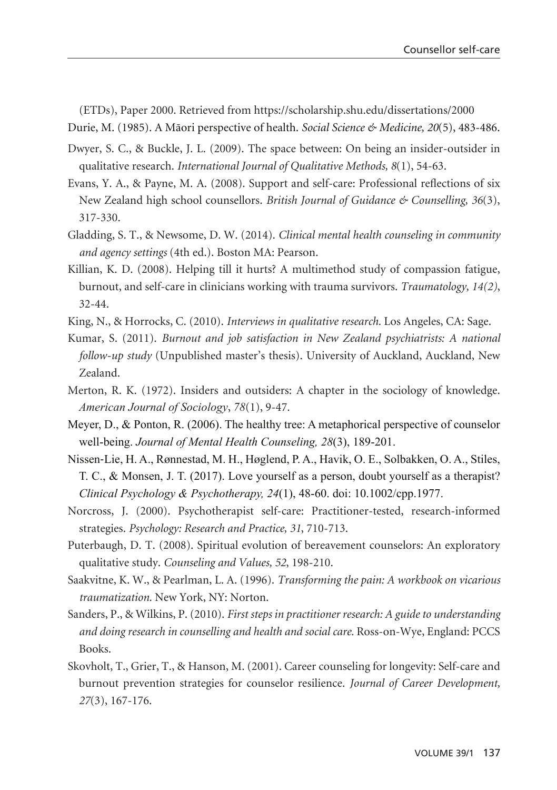(ETDs), Paper 2000. Retrieved from https://scholarship.shu.edu/dissertations/2000

Durie, M. (1985). A Mäori perspective of health. *Social Science & Medicine, 20*(5), 483-486.

- Dwyer, S. C., & Buckle, J. L. (2009). The space between: On being an insider-outsider in qualitative research. *International Journal of Qualitative Methods, 8*(1), 54-63.
- Evans, Y. A., & Payne, M. A. (2008). Support and self-care: Professional reflections of six New Zealand high school counsellors. *British Journal of Guidance & Counselling, 36*(3), 317-330.
- Gladding, S. T., & Newsome, D. W. (2014). *Clinical mental health counseling in community and agency settings* (4th ed.). Boston MA: Pearson.
- Killian, K. D. (2008). Helping till it hurts? A multimethod study of compassion fatigue, burnout, and self-care in clinicians working with trauma survivors. *Traumatology, 14(2)*, 32-44.
- King, N., & Horrocks, C. (2010). *Interviews in qualitative research.* Los Angeles, CA: Sage.
- Kumar, S. (2011). *Burnout and job satisfaction in New Zealand psychiatrists: A national follow-up study* (Unpublished master's thesis). University of Auckland, Auckland, New Zealand.
- Merton, R. K. (1972). Insiders and outsiders: A chapter in the sociology of knowledge. *American Journal of Sociology*, *78*(1), 9-47.
- Meyer, D., & Ponton, R. (2006). The healthy tree: A metaphorical perspective of counselor well-being. *Journal of Mental Health Counseling, 28*(3), 189-201.
- Nissen-Lie, H. A., Rønnestad, M. H., Høglend, P. A., Havik, O. E., Solbakken, O. A., Stiles, T. C., & Monsen, J. T. (2017). Love yourself as a person, doubt yourself as a therapist? *Clinical Psychology & Psychotherapy, 24*(1), 48-60. doi: 10.1002/cpp.1977.
- Norcross, J. (2000). Psychotherapist self-care: Practitioner-tested, research-informed strategies. *Psychology: Research and Practice, 31*, 710-713.
- Puterbaugh, D. T. (2008). Spiritual evolution of bereavement counselors: An exploratory qualitative study. *Counseling and Values, 52*, 198-210.
- Saakvitne, K. W., & Pearlman, L. A. (1996). *Transforming the pain: A workbook on vicarious traumatization.* New York, NY: Norton.
- Sanders, P., & Wilkins, P. (2010). *First steps in practitioner research: A guide to understanding and doing research in counselling and health and social care.* Ross-on-Wye, England: PCCS Books.
- Skovholt, T., Grier, T., & Hanson, M. (2001). Career counseling for longevity: Self-care and burnout prevention strategies for counselor resilience. *Journal of Career Development, 27*(3), 167-176.